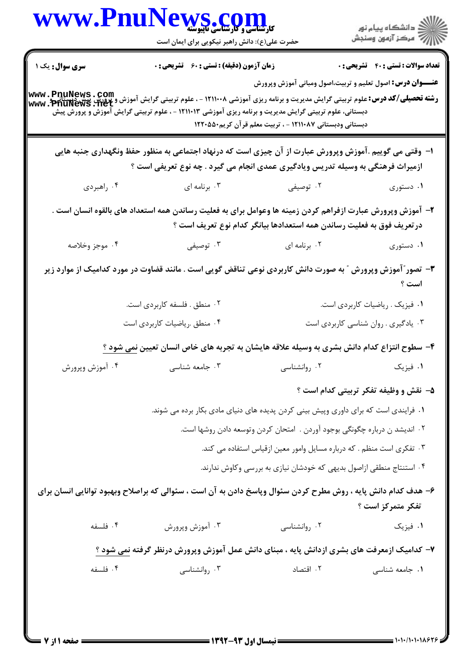|                       | حضرت علی(ع): دانش راهبر نیکویی برای ایمان است                                                                                                                                                                                                                                            | WWW.PnuNews.com                                                                                                              |                                             |
|-----------------------|------------------------------------------------------------------------------------------------------------------------------------------------------------------------------------------------------------------------------------------------------------------------------------------|------------------------------------------------------------------------------------------------------------------------------|---------------------------------------------|
| <b>سری سوال:</b> یک ۱ | زمان آزمون (دقیقه) : تستی : 60 ٪ تشریحی : 0                                                                                                                                                                                                                                              |                                                                                                                              | <b>تعداد سوالات : تستی : 40 قشریحی : 0</b>  |
|                       | <b>AWW . PnuNews . COM</b><br>ر <b>شته تحصیلی/کد درس:</b> علوم تربیتی گرایش مدیریت و برنامه ریزی آموزشی ۱۲۱۱۰۰۸ - ، علوم تربیتی گرایش آموزش و پرورش پیش<br>WWW . PhuNews . Net<br>دبستانی، علوم تربیتی گرایش مدیریت و برنامه ریزی آموزشی ۱۲۱۱۰۱۳ - ، علوم تربیتی گرایش آموزش و پرورش پیش | <b>عنـــوان درس:</b> اصول تعلیم و تربیت،اصول ومبانی آموزش وپرورش<br>دبستانی ودبستانی ۱۲۱۱۰۸۷ - ، تربیت معلم قرآن کریم۱۲۲۰۵۵۰ |                                             |
|                       | ا- وقتی می گوییم .آموزش وپرورش عبارت از آن چیزی است که درنهاد اجتماعی به منظور حفظ ونگهداری جنبه هایی<br>ازمیراث فرهنگی به وسیله تدریس ویادگیری عمدی انجام می گیرد . چه نوع تعریفی است ؟                                                                                                 |                                                                                                                              |                                             |
| ۰۴ راهبردي            | ۰۳ برنامه ای                                                                                                                                                                                                                                                                             | ۰۲ توصیفی                                                                                                                    | ۰۱ دستوری                                   |
|                       | ۲– آموزش وپرورش عبارت ازفراهم کردن زمینه ها وعوامل برای به فعلیت رساندن همه استعداد های بالقوه انسان است .                                                                                                                                                                               | در تعریف فوق به فعلیت رساندن همه استعدادها بیانگر کدام نوع تعریف است ؟                                                       |                                             |
| ۰۴ موجز وخلاصه        | ۰۳ توصیفی                                                                                                                                                                                                                                                                                | ۰۲ برنامه ای                                                                                                                 | ۰۱ دستوری                                   |
|                       | ۳- تصور "آموزش وپرورش " به صورت دانش کاربردی نوعی تناقض گویی است . مانند قضاوت در مورد کدامیک از موارد زیر                                                                                                                                                                               |                                                                                                                              | است ؟                                       |
|                       | ۰۲ منطق . فلسفه کاربردی است.                                                                                                                                                                                                                                                             |                                                                                                                              | ۰۱ فیزیک . <sub>ر</sub> یاضیات کاربردی است. |
|                       | ۰۴ منطق .رياضيات كاربردي است                                                                                                                                                                                                                                                             |                                                                                                                              | ۰۳ یادگیری . روان شناسی کاربردی است         |
|                       | ۴– سطوح انتزاع کدام دانش بشری به وسیله علاقه هایشان به تجربه های خاص انسان تعیین <u>نمی شود ؟</u>                                                                                                                                                                                        |                                                                                                                              |                                             |
| ۰۴ آموزش وپرورش       | ۰۳ جامعه شناسی                                                                                                                                                                                                                                                                           | ۰۲ روانشناسی                                                                                                                 | ٠١ فيزيک                                    |
|                       |                                                                                                                                                                                                                                                                                          |                                                                                                                              | ۵- نقش و وظیفه تفکر تربیتی کدام است ؟       |
|                       | ۰۱ فرایندی است که برای داوری وپیش بینی کردن پدیده های دنیای مادی بکار برده می شوند.                                                                                                                                                                                                      |                                                                                                                              |                                             |
|                       |                                                                                                                                                                                                                                                                                          | ۰۲ اندیشد ن درباره چگونگی بوجود آوردن . امتحان کردن وتوسعه دادن روشها است.                                                   |                                             |
|                       |                                                                                                                                                                                                                                                                                          | ۰۳ تفکری است منظم . که درباره مسایل وامور معین ازقیاس استفاده می کند.                                                        |                                             |
|                       |                                                                                                                                                                                                                                                                                          | ۰۴ استنتاج منطقی ازاصول بدیهی که خودشان نیازی به بررسی وکاوش ندارند.                                                         |                                             |
|                       | ۶– هدف کدام دانش پایه ، روش مطرح کردن سئوال وپاسخ دادن به آن است ، سئوالی که براصلاح وبهبود توانایی انسان برای                                                                                                                                                                           |                                                                                                                              | تفكر متمركز است ؟                           |
| ۰۴ فلسفه              | ۰۳ آموزش وپرورش                                                                                                                                                                                                                                                                          | ۰۲ روانشناسی                                                                                                                 | ۰۱ فیزیک                                    |
|                       | ۷– کدامیک ازمعرفت های بشری ازدانش پایه ، مبنای دانش عمل آموزش وپرورش درنظر گرفته نمی شود ؟                                                                                                                                                                                               |                                                                                                                              |                                             |
| ۰۴ فلسفه              | ۰۳ روانشناسی                                                                                                                                                                                                                                                                             | ۰۲ اقتصاد                                                                                                                    | ٠١. جامعه شناسي                             |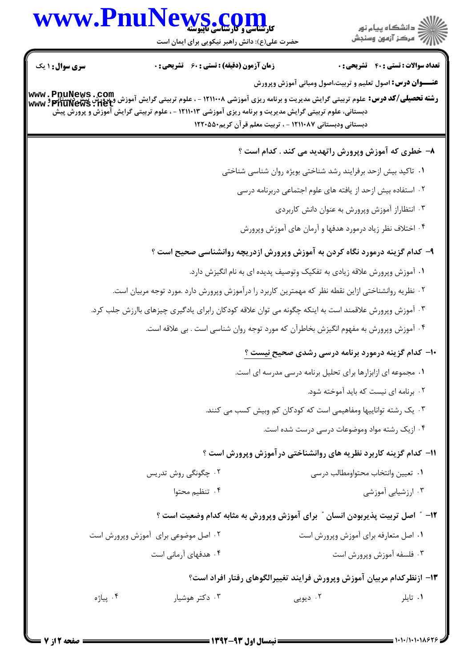## WWW.PnuNews.com

ے<br>کا اللہ کا استگاہ پیام نور<br>کا اللہ میکز آزمون وسنجش

| <b>سری سوال : ۱ یک</b> |                                                                                                                                                                                                                                                                   | <b>زمان آزمون (دقیقه) : تستی : 60 ٪ تشریحی : 0</b> |                                                                                                                              |                                    | <b>تعداد سوالات : تستي : 40 ٪ تشريحي : 0</b>   |
|------------------------|-------------------------------------------------------------------------------------------------------------------------------------------------------------------------------------------------------------------------------------------------------------------|----------------------------------------------------|------------------------------------------------------------------------------------------------------------------------------|------------------------------------|------------------------------------------------|
|                        | <b>رشته تحصیلی/کد درس:</b> علوم تربیتی گرایش مدیریت و برنامه ریزی آموزشی ۱۲۱۱۰۰۸ - ، علوم تربیتی گرایش آموزش و پرورش پش دیستانیم<br>www : PnuNews : neپ<br>دبستانی، علوم تربیتی گرایش مدیریت و برنامه ریزی آموزشی ۱۲۱۱۰۱۳ - ، علوم تربیتی گرایش آموزش و پرورش پیش |                                                    | <b>عنـــوان درس:</b> اصول تعلیم و تربیت،اصول ومبانی آموزش وپرورش<br>دبستانی ودبستانی ۱۲۱۱۰۸۷ - ، تربیت معلم قرآن کریم۱۲۲۰۵۵۰ |                                    |                                                |
|                        |                                                                                                                                                                                                                                                                   |                                                    | ۸– خطری که آموزش وپرورش راتهدید می کند . کدام است ؟                                                                          |                                    |                                                |
|                        |                                                                                                                                                                                                                                                                   |                                                    | ۰۱ تاکید بیش ازحد برفرایند رشد شناختی بویژه روان شناسی شناختی                                                                |                                    |                                                |
|                        |                                                                                                                                                                                                                                                                   |                                                    | ۰۲ استفاده بیش ازحد از یافته های علوم اجتماعی دربرنامه درسی                                                                  |                                    |                                                |
|                        |                                                                                                                                                                                                                                                                   |                                                    |                                                                                                                              |                                    | ۰۳ انتظاراز آموزش وپرورش به عنوان دانش کاربردی |
|                        |                                                                                                                                                                                                                                                                   |                                                    | ۰۴ اختلاف نظر زياد درمورد هدفها و آرمان هاى آموزش وپرورش                                                                     |                                    |                                                |
|                        |                                                                                                                                                                                                                                                                   |                                                    | ۹– کدام گزینه درمورد نگاه کردن به آموزش وپرورش ازدریچه روانشناسی صحیح است ؟                                                  |                                    |                                                |
|                        |                                                                                                                                                                                                                                                                   |                                                    | ۰۱ آموزش وپرورش علاقه زیادی به تفکیک وتوصیف پدیده ای به نام انگیزش دارد.                                                     |                                    |                                                |
|                        |                                                                                                                                                                                                                                                                   |                                                    | ۰۲ نظریه روانشناختی ازاین نقطه نظر که مهمترین کاربرد را درآموزش وپرورش دارد .مورد توجه مربیان است.                           |                                    |                                                |
|                        | ۰۳ آموزش وپرورش علاقمند است به اینکه چگونه می توان علاقه کودکان رابرای یادگیری چیزهای باارزش جلب کرد.                                                                                                                                                             |                                                    |                                                                                                                              |                                    |                                                |
|                        |                                                                                                                                                                                                                                                                   |                                                    | ۰۴ آموزش وپرورش به مفهوم انگیزش بخاطرآن که مورد توجه روان شناسی است . بی علاقه است.                                          |                                    |                                                |
|                        |                                                                                                                                                                                                                                                                   |                                                    | <b>۰۱- کدام گزینه درمورد برنامه درسی رشدی صحیح نیست</b> ؟                                                                    |                                    |                                                |
|                        |                                                                                                                                                                                                                                                                   |                                                    | ۰۱ مجموعه ای ازابزارها برای تحلیل برنامه درسی مدرسه ای است.                                                                  |                                    |                                                |
|                        |                                                                                                                                                                                                                                                                   |                                                    |                                                                                                                              |                                    | ۰۲ برنامه ای نیست که باید آموخته شود.          |
|                        |                                                                                                                                                                                                                                                                   |                                                    | ۰۳ یک رشته تواناییها ومفاهیمی است که کودکان کم وبیش کسب می کنند.                                                             |                                    |                                                |
|                        |                                                                                                                                                                                                                                                                   |                                                    | ۰۴ از یک رشته مواد وموضوعات درسی درست شده است.                                                                               |                                    |                                                |
|                        |                                                                                                                                                                                                                                                                   |                                                    | 11- کدام گزینه کاربرد نظریه های روانشناختی درآموزش وپرورش است ؟                                                              |                                    |                                                |
|                        | ۰۲ چگونگی روش تدریس                                                                                                                                                                                                                                               |                                                    |                                                                                                                              | ٠١. تعيين وانتخاب محتواومطالب درسي |                                                |
|                        |                                                                                                                                                                                                                                                                   | ۰۴ تنظیم محتوا                                     |                                                                                                                              |                                    | ۰۳ ارزشیابی آموزشی                             |
|                        |                                                                                                                                                                                                                                                                   |                                                    | 12- ″ اصل تربیت پذیربودن انسان ″ برای آموزش وپرورش به مثابه کدام وضعیت است ؟                                                 |                                    |                                                |
|                        | ۰۲ اصل موضوعی برای آموزش وپرورش است                                                                                                                                                                                                                               |                                                    |                                                                                                                              |                                    | ٠١ اصل متعارفه براى آموزش وپرورش است           |
|                        | ۰۴ هدفهای آرمانی است                                                                                                                                                                                                                                              |                                                    |                                                                                                                              |                                    | ۰۳ فلسفه آموزش وپرورش است                      |
|                        |                                                                                                                                                                                                                                                                   |                                                    | ۱۳- ازنظرکدام مربیان آموزش وپرورش فرایند تغییرالگوهای رفتار افراد است؟                                                       |                                    |                                                |
|                        | ۰۴ پياژه                                                                                                                                                                                                                                                          | ۰۳ دکتر هوشیار                                     | ۰۲ دیویی                                                                                                                     |                                    | ۰۱ تايلر                                       |
|                        |                                                                                                                                                                                                                                                                   |                                                    |                                                                                                                              |                                    |                                                |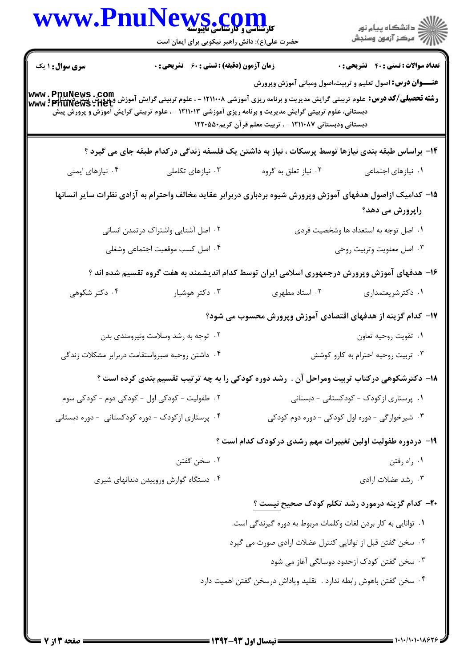|                        | WWW.PnuNews.com                                                                                                                                                                                                                                                |                                                                    |                                                                  |
|------------------------|----------------------------------------------------------------------------------------------------------------------------------------------------------------------------------------------------------------------------------------------------------------|--------------------------------------------------------------------|------------------------------------------------------------------|
|                        | حضرت علی(ع): دانش راهبر نیکویی برای ایمان است                                                                                                                                                                                                                  |                                                                    |                                                                  |
| <b>سری سوال : ۱ یک</b> | <b>زمان آزمون (دقیقه) : تستی : 60 ٪ تشریحی : 0</b>                                                                                                                                                                                                             |                                                                    | <b>تعداد سوالات : تستي : 40 - تشريحي : 0</b>                     |
|                        | -<br><b>رشته تحصیلی/کد درس:</b> علوم تربیتی گرایش مدیریت و برنامه ریزی آموزشی ۱۲۱۱۰۰۸ - ، علوم تربیتی گرایش آموزش ویرورش پیش<br>WWW : PhuNews • 11et<br>دبستانی، علوم تربیتی گرایش مدیریت و برنامه ریزی آموزشی ۱۲۱۱۰۱۳ - ، علوم تربیتی گرایش آموزش و پرورش پیش | دبستانی ودبستانی ۱۲۱۱۰۸۷ - ، تربیت معلم قرآن کریم۱۲۲۰۵۵۰           | <b>عنـــوان درس:</b> اصول تعلیم و تربیت،اصول ومبانی آموزش وپرورش |
|                        | ۱۴- براساس طبقه بندی نیازها توسط پرسکات ، نیاز به داشتن یک فلسفه زندگی درکدام طبقه جای می گیرد ؟                                                                                                                                                               |                                                                    |                                                                  |
| ۰۴ نیازهای ایمنی       | ۰۳ نیازهای تکاملی                                                                                                                                                                                                                                              | ۰۲ نیاز تعلق به گروه                                               | ٠١ نيازهاى اجتماعى                                               |
|                        | ۱۵– کدامیک ازاصول هدفهای آموزش وپرورش شیوه بردباری دربرابر عقاید مخالف واحترام به آزادی نظرات سایر انسانها                                                                                                                                                     |                                                                    | راپرورش می دهد؟                                                  |
|                        | ٠٢ اصل آشنايي واشتراك درتمدن انساني                                                                                                                                                                                                                            |                                                                    | ۰۱ اصل توجه به استعداد ها وشخصیت فردی                            |
|                        | ۰۴ اصل کسب موقعیت اجتماعی وشغلی                                                                                                                                                                                                                                |                                                                    | ۰۳ اصل معنويت وتربيت روحي                                        |
|                        | ۱۶– هدفهای آموزش وپرورش درجمهوری اسلامی ایران توسط کدام اندیشمند به هفت گروه تقسیم شده اند ؟                                                                                                                                                                   |                                                                    |                                                                  |
| ۰۴ دکتر شکوهی          | ۰۳ دکتر هوشیار                                                                                                                                                                                                                                                 | ۰۲ استاد مطهری                                                     | ۰۱ دکترشریعتمداری                                                |
|                        |                                                                                                                                                                                                                                                                | ۱۷– کدام گزینه از هدفهای اقتصادی آموزش وپرورش محسوب می شود؟        |                                                                  |
|                        | ۰۲ توجه به رشد وسلامت ونیرومندی بدن                                                                                                                                                                                                                            |                                                                    | ٠١ تقويت روحيه تعاون                                             |
|                        | ۰۴ داشتن روحیه صبرواستقامت دربرابر مشکلات زندگی                                                                                                                                                                                                                |                                                                    | ۰۳ تربیت روحیه احترام به کارو کوشش                               |
|                        | ۱۸– دکترشکوهی درکتاب تربیت ومراحل آن . رشد دوره کودکی را به چه ترتیب تقسیم بندی کرده است ؟                                                                                                                                                                     |                                                                    |                                                                  |
|                        | ۰۲ طفولیت - کودکی اول - کودکی دوم - کودکی سوم                                                                                                                                                                                                                  |                                                                    | ۰۱ پرستاری از کودک - کودکستانی - دبستانی                         |
|                        | ۰۴ پرستاری از کودک - دوره کودکستانی - دوره دبستانی                                                                                                                                                                                                             |                                                                    | ۰۳ شیرخوارگی - دوره اول کودکی - دوره دوم کودکی                   |
|                        |                                                                                                                                                                                                                                                                | ۱۹- دردوره طفولیت اولین تغییرات مهم رشدی درکودک کدام است ؟         |                                                                  |
|                        | ۰۲ سخن گفتن                                                                                                                                                                                                                                                    |                                                                    | ۰۱ راه رفتن                                                      |
|                        | ۰۴ دستگاه گوارش وروییدن دندانهای شیری                                                                                                                                                                                                                          |                                                                    | ۰۳ رشد عضلات ارادي                                               |
|                        |                                                                                                                                                                                                                                                                | <b>۲۰</b> - کدام گزینه درمورد رشد تکلم کودک صحیح نیست ؟            |                                                                  |
|                        |                                                                                                                                                                                                                                                                | ۰۱ توانایی به کار بردن لغات وکلمات مربوط به دوره گیرندگی است.      |                                                                  |
|                        |                                                                                                                                                                                                                                                                | ۰۲ سخن گفتن قبل از توانایی کنترل عضلات ارادی صورت می گیرد          |                                                                  |
|                        |                                                                                                                                                                                                                                                                |                                                                    | ۰۳ سخن گفتن کودک ازحدود دوسالگی آغاز می شود                      |
|                        |                                                                                                                                                                                                                                                                | ۰۴ سخن گفتن باهوش رابطه ندارد . تقلید وپاداش درسخن گفتن اهمیت دارد |                                                                  |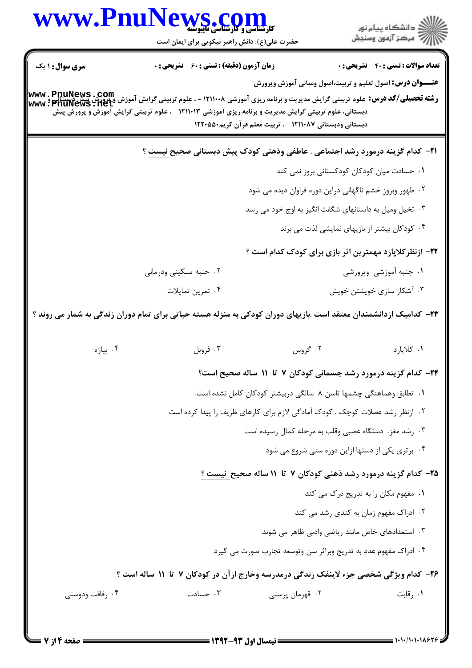|                        | WWW.PnuNews.com<br>حضرت علی(ع): دانش راهبر نیکویی برای ایمان است                                                                                                                                                                                                                            |                                                                                                                               | ِ<br>∭ دانشڪاه پيام نور<br>∭ مرڪز آزمون وسنڊش |
|------------------------|---------------------------------------------------------------------------------------------------------------------------------------------------------------------------------------------------------------------------------------------------------------------------------------------|-------------------------------------------------------------------------------------------------------------------------------|-----------------------------------------------|
| <b>سری سوال : ۱ یک</b> | زمان آزمون (دقیقه) : تستی : 60 گشریحی : 0                                                                                                                                                                                                                                                   |                                                                                                                               | <b>تعداد سوالات : تستی : 40 ٪ تشریحی : 0</b>  |
|                        | <b>رشته تحصیلی/کد درس:</b><br>و <b>شته تحصیلی/کد درس:</b> علوم تربیتی گرایش مدیریت و برنامه ریزی آموزشی ۱۲۱۱۰۰۸ - ، علوم تربیتی گرایش (پیم تربید و سکتائی<br>WWW : PnuNews : 11et<br>دبستانی، علوم تربیتی گرایش مدیریت و برنامه ریزی آموزشی ۱۲۱۱۰۱۳ - ، علوم تربیتی گرایش آموزش و پرورش پیش | <b>عنــــوان درس:</b> اصول تعلیم و تربیت،اصول ومبانی آموزش وپرورش<br>دبستانی ودبستانی ۱۲۱۱۰۸۷ - ، تربیت معلم قرآن کریم۱۲۲۰۵۵۰ |                                               |
|                        | <b>۲۱</b> - کدام گزینه درمورد رشد اجتماعی . عاطفی وذهنی کودک پیش دبستانی صحیح <u>نیست</u> ؟                                                                                                                                                                                                 |                                                                                                                               |                                               |
|                        |                                                                                                                                                                                                                                                                                             | ۰۱ حسادت میان کودکان کودکستانی بروز نمی کند                                                                                   |                                               |
|                        |                                                                                                                                                                                                                                                                                             | ۰۲ ظهور وبروز خشم ناگهانی دراین دوره فراوان دیده می شود                                                                       |                                               |
|                        |                                                                                                                                                                                                                                                                                             | ۰۳ تخیل ومیل به داستانهای شگفت انگیز به اوج خود می رسد                                                                        |                                               |
|                        |                                                                                                                                                                                                                                                                                             | ۰۴ کودکان بیشتر از بازیهای نمایشی لذت می برند                                                                                 |                                               |
|                        |                                                                                                                                                                                                                                                                                             | ۲۲- ازنظر کلاپارد مهمترین اثر بازی برای کودک کدام است ؟                                                                       |                                               |
|                        | ۰۲ جنبه تسکینی ودرمانی                                                                                                                                                                                                                                                                      |                                                                                                                               | ۰۱ جنبه آموزشی وپرورشی                        |
|                        | ۰۴ تمرين تمايلات                                                                                                                                                                                                                                                                            |                                                                                                                               | ۰۳ آشکار سازی خویشتن خویش                     |
|                        | ۲۳– کدامیک ازدانشمندان معتقد است .بازیهای دوران کودکی به منزله هسته حیاتی برای تمام دوران زندگی به شمار می روند ؟                                                                                                                                                                           |                                                                                                                               |                                               |
| ۰۴ پياژه               | ۰۳ فروبل                                                                                                                                                                                                                                                                                    | ۰۲ گروس                                                                                                                       | ٠١ كلاپارد                                    |
|                        |                                                                                                                                                                                                                                                                                             | ۲۴- کدام گزینه درمورد رشد جسمانی کودکان ۷ تا ۱۱ ساله صحیح است؟                                                                |                                               |
|                        |                                                                                                                                                                                                                                                                                             | ۰۱ تطابق وهماهنگی چشمها تاسن ۸ سالگی دربیشتر کودکان کامل نشده است.                                                            |                                               |
|                        |                                                                                                                                                                                                                                                                                             |                                                                                                                               |                                               |
|                        | ۰۲ ازنظر رشد عضلات کوچک . کودک آمادگی لازم برای کارهای ظریف را پیدا کرده است                                                                                                                                                                                                                |                                                                                                                               |                                               |
|                        |                                                                                                                                                                                                                                                                                             | ۰۳ رشد مغز. دستگاه عصبی وقلب به مرحله کمال رسیده است                                                                          |                                               |
|                        |                                                                                                                                                                                                                                                                                             | ۰۴ برتری یکی از دستها ازاین دوره سنی شروع می شود                                                                              |                                               |
|                        |                                                                                                                                                                                                                                                                                             | ۲۵- کدام گزینه درمورد رشد ذهنی کودکان ۷ تا ۱۱ ساله صحیح نیست ؟                                                                |                                               |
|                        |                                                                                                                                                                                                                                                                                             |                                                                                                                               | ۰۱ مفهوم مکان را به تدریج درک می کند          |
|                        |                                                                                                                                                                                                                                                                                             |                                                                                                                               | ۰۲ ادراک مفهوم زمان به کندی رشد می کند        |
|                        |                                                                                                                                                                                                                                                                                             | ۰۳ استعدادهای خاص مانند ریاضی وادبی ظاهر می شوند                                                                              |                                               |
|                        |                                                                                                                                                                                                                                                                                             | ۰۴ ادراک مفهوم عدد به تدریج وبراثر سن وتوسعه تجارب صورت می گیرد                                                               |                                               |
|                        | ۲۶- کدام ویژگی شخصی جزء لاینفک زندگی درمدرسه وخارج ازآن در کودکان ۷ تا ۱۱ ساله است ؟                                                                                                                                                                                                        |                                                                                                                               |                                               |

 $= 1.1 - 11.1 - 11.975$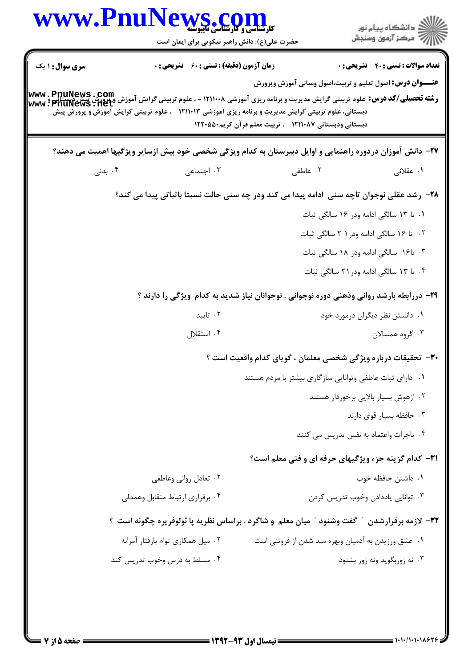|                        | www.PnuNews.co<br><b>کارشناسی و کارشناسی ناپیوست</b><br>حضرت علی(ع): دانش راهبر نیکویی برای ایمان است                                                                                                                                                                                                                                          |                                                                                          | دانشگاه پيام نور $\le$<br>أآ مرکز آزمون وسنجش |
|------------------------|------------------------------------------------------------------------------------------------------------------------------------------------------------------------------------------------------------------------------------------------------------------------------------------------------------------------------------------------|------------------------------------------------------------------------------------------|-----------------------------------------------|
| <b>سری سوال :</b> ۱ یک | <b>زمان آزمون (دقیقه) : تستی : 60 ٪ تشریحی : 0</b><br><b>رشته تحصیلی/کد درس:</b><br><b>رشته تحصیلی/کد درس:</b> علوم تربیتی گرایش مدیریت و برنامه ریزی آموزشی ۱۲۱۱۰۰۸ - ، علوم تربیتی گرایش آموزش بیسی دیستان<br>WWW ، PnuNews : 11et<br>دبستانی، علوم تربیتی گرایش مدیریت و برنامه ریزی آموزشی ۱۲۱۱۰۱۳ - ، علوم تربیتی گرایش آموزش و پرورش پیش | <b>عنـــوان درس:</b> اصول تعلیم و تربیت،اصول ومبانی آموزش وپرورش                         | <b>تعداد سوالات : تستی : 40 قشریحی : 0</b>    |
|                        |                                                                                                                                                                                                                                                                                                                                                | دبستانی ودبستانی ۱۲۱۱۰۸۷ - ، تربیت معلم قرآن کریم۱۲۲۰۵۵۰                                 |                                               |
|                        | <b>۲۷</b> – دانش آموزان دردوره راهنمایی و اوایل دبیرستان به کدام ویژگی شخصی خود بیش ازسایر ویژگیها اهمیت می دهند؟                                                                                                                                                                                                                              |                                                                                          |                                               |
| ۰۴ بدنی                | ۰۳ اجتماعی                                                                                                                                                                                                                                                                                                                                     | ۰۲ عاطفی                                                                                 | ۰۱ عقلانی                                     |
|                        | ۲۸- رشد عقلی نوجوان تاچه سنی ادامه پیدا می کند ودر چه سنی حالت نسبتا باثباتی پیدا می کند؟                                                                                                                                                                                                                                                      |                                                                                          |                                               |
|                        |                                                                                                                                                                                                                                                                                                                                                |                                                                                          | ۰۱ تا ۱۳ سالگی ادامه ودر ۱۶ سالگی ثبات        |
|                        |                                                                                                                                                                                                                                                                                                                                                |                                                                                          | ۰۲ تا ۱۶ سالگی ادامه ودر ۲۱ سالگی ثبات        |
|                        |                                                                                                                                                                                                                                                                                                                                                |                                                                                          | ۰۳ تا۱۶ سالگی ادامه ودر ۱۸ سالگی ثبات         |
|                        |                                                                                                                                                                                                                                                                                                                                                |                                                                                          | ۰۴ تا ۱۳ سالگی ادامه ودر ۲۱ سالگی ثبات        |
|                        |                                                                                                                                                                                                                                                                                                                                                | ۲۹- دررابطه بارشد روانی وذهنی دوره نوجوانی . نوجوانان نیاز شدید به کدام ویژگی را دارند ؟ |                                               |
|                        | ۰۲ تایید                                                                                                                                                                                                                                                                                                                                       |                                                                                          | ۰۱ دانستن نظر دیگران درمورد خود               |
|                        | ۰۴ استقلال                                                                                                                                                                                                                                                                                                                                     |                                                                                          | ۰۳ گروه همسالان                               |
|                        |                                                                                                                                                                                                                                                                                                                                                | <b>۳۰</b> - تحقیقات درباره ویژگی شخصی معلمان ، گویای کدام واقعیت است ؟                   |                                               |
|                        |                                                                                                                                                                                                                                                                                                                                                | ۰۱ دارای ثبات عاطفی وتوانایی سازگاری بیشتر با مردم هستند                                 |                                               |
|                        |                                                                                                                                                                                                                                                                                                                                                |                                                                                          | ۰۲ ازهوش بسیار بالایی برخوردار هستند          |
|                        |                                                                                                                                                                                                                                                                                                                                                |                                                                                          | ۰۳ حافظه بسیار قوی دارند                      |
|                        |                                                                                                                                                                                                                                                                                                                                                |                                                                                          | ۰۴ باجرات واعتماد به نفس تدریس می کنند        |
|                        |                                                                                                                                                                                                                                                                                                                                                | <b>۳۱</b> - کدام گزینه جزء ویژگیهای حرفه ای و فنی معلم است؟                              |                                               |
|                        | ۰۲ تعادل روانی وعاطفی                                                                                                                                                                                                                                                                                                                          |                                                                                          | ٠١ داشتن حافظه خوب                            |
|                        | ۰۴ برقراری ارتباط متقابل وهمدلی                                                                                                                                                                                                                                                                                                                |                                                                                          | ٠٣ توانايي ياددادن وخوب تدريس كردن            |
|                        | ۳۲- لازمه برقرارشدن ″ گفت وشنود ″ میان معلم و شاگرد . براساس نظریه پا ئولوفریره چگونه است ؟                                                                                                                                                                                                                                                    |                                                                                          |                                               |
|                        | ۰۲ میل همکاری توام بارفتار آمرانه                                                                                                                                                                                                                                                                                                              | ٠١ عشق ورزيدن به آدميان وبهره مند شدن از فروتني است                                      |                                               |
|                        | ۰۴ مسلط به درس وخوب تدریس کند                                                                                                                                                                                                                                                                                                                  |                                                                                          | ۰۳ نه زوربگوید ونه زور بشنود                  |
|                        |                                                                                                                                                                                                                                                                                                                                                |                                                                                          |                                               |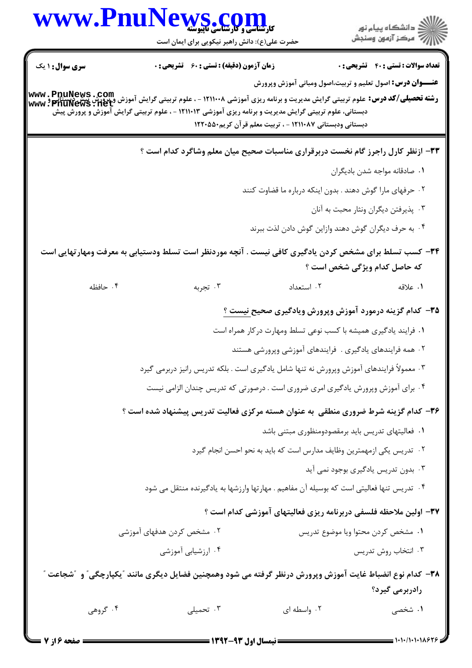| www.Pnul               | <b>PWS.COM</b><br>حضرت علی(ع): دانش راهبر نیکویی برای ایمان است                                                                                                                                                                                                           |                                                          | ڪ دانشڪاه پيا <sub>م</sub> نور<br>ر <i>7</i> مرڪز آزمون وسنڊش                    |
|------------------------|---------------------------------------------------------------------------------------------------------------------------------------------------------------------------------------------------------------------------------------------------------------------------|----------------------------------------------------------|----------------------------------------------------------------------------------|
| <b>سری سوال : ۱ یک</b> | <b>زمان آزمون (دقیقه) : تستی : 60 ٪ تشریحی : 0</b>                                                                                                                                                                                                                        |                                                          | <b>تعداد سوالات : تستی : 40 قشریحی : 0</b>                                       |
|                        | <b>رشته تحصیلی/کد درس:</b> علوم تربیتی گرایش مدیریت و برنامه ریزی آموزشی ۱۲۱۱۰۰۸ - ، علوم تربیتی گرایش آموزش و پرورش پیش دیستانی<br><b>www : PnuNews : 11et</b><br>دبستانی، علوم تربیتی گرایش مدیریت و برنامه ریزی آموزشی ۱۲۱۱۰۱۳ - ، علوم تربیتی گرایش آموزش و پرورش پیش | دبستانی ودبستانی ۱۲۱۱۰۸۷ - ، تربیت معلم قرآن کریم۱۲۲۰۵۵۰ | <b>عنــــوان درس:</b> اصول تعلیم و تربیت،اصول ومبانی آموزش وپرورش                |
|                        |                                                                                                                                                                                                                                                                           |                                                          | 3۳- ازنظر کارل راجرز گام نخست دربرقراری مناسبات صحیح میان معلم وشاگرد کدام است ؟ |
|                        |                                                                                                                                                                                                                                                                           |                                                          | ٠١ صادقانه مواجه شدن باديگران                                                    |
|                        |                                                                                                                                                                                                                                                                           |                                                          | ۰۲ حرفهای مارا گوش دهند . بدون اینکه درباره ما قضاوت کنند                        |
|                        |                                                                                                                                                                                                                                                                           |                                                          | ۰۳ پذیرفتن دیگران ونثار محبت به آنان                                             |
|                        |                                                                                                                                                                                                                                                                           |                                                          | ۰۴ به حرف دیگران گوش دهند وازاین گوش دادن لذت ببرند                              |
|                        | ۳۴– کسب تسلط برای مشخص کردن یادگیری کافی نیست . آنچه موردنظر است تسلط ودستیابی به معرفت ومهارتهایی است                                                                                                                                                                    |                                                          | که حاصل کدام ویژگی شخص است ؟                                                     |
| ۰۴ حافظه               | ۰۳ تجربه                                                                                                                                                                                                                                                                  | ٠٢ استعداد                                               | ۰۱ علاقه                                                                         |
|                        |                                                                                                                                                                                                                                                                           |                                                          | <b>۳۵</b> – کدام گزینه درمورد آموزش وپرورش ویادگیری صحیح <u>نیست ؟</u>           |
|                        |                                                                                                                                                                                                                                                                           |                                                          | ۰۱ فرایند یادگیری همیشه با کسب نوعی تسلط ومهارت درکار همراه است                  |
|                        |                                                                                                                                                                                                                                                                           |                                                          | ۰۲ همه فرایندهای یادگیری . فرایندهای آموزشی وپرورشی هستند                        |
|                        | ۰۳ معمولاً فرایندهای آموزش وپرورش نه تنها شامل یادگیری است . بلکه تدریس رانیز دربرمی گیرد                                                                                                                                                                                 |                                                          |                                                                                  |
|                        | ۰۴ برای آموزش وپرورش یادگیری امری ضروری است . درصورتی که تدریس چندان الزامی نیست                                                                                                                                                                                          |                                                          |                                                                                  |
|                        | ۳۶- کدام گزینه شرط ضروری منطقی به عنوان هسته مرکزی فعالیت تدریس پیشنهاد شده است ؟                                                                                                                                                                                         |                                                          |                                                                                  |
|                        |                                                                                                                                                                                                                                                                           |                                                          | ۰۱ فعالیتهای تدریس باید برمقصودومنظوری مبتنی باشد                                |
|                        |                                                                                                                                                                                                                                                                           |                                                          | ۰۲ تدریس یکی ازمهمترین وظایف مدارس است که باید به نحو احسن انجام گیرد            |
|                        |                                                                                                                                                                                                                                                                           |                                                          | ۰۳ بدون تدریس یادگیری بوجود نمی آید                                              |
|                        | ۰۴ تدریس تنها فعالیتی است که بوسیله آن مفاهیم . مهارتها وارزشها به یادگیرنده منتقل می شود                                                                                                                                                                                 |                                                          |                                                                                  |
|                        |                                                                                                                                                                                                                                                                           |                                                          | ۳۷– اولین ملاحظه فلسفی دربرنامه ریزی فعالیتهای آموزشی کدام است ؟                 |
|                        | ۰۲ مشخص کردن هدفهای آموزشی                                                                                                                                                                                                                                                |                                                          | ٠١ مشخص كردن محتوا ويا موضوع تدريس                                               |
|                        | ۰۴ ارزشیابی آموزشی                                                                                                                                                                                                                                                        |                                                          | ۰۳ انتخاب روش تدريس                                                              |
|                        | ۳۸- کدام نوع انضباط غایت آموزش وپرورش درنظر گرفته می شود وهمچنین فضایل دیگری مانند "یکپارچگی" و "شجاعت "                                                                                                                                                                  |                                                          | رادربرمی گیرد؟                                                                   |
| ۰۴ گروهی               | ۰۳ تحمیلی                                                                                                                                                                                                                                                                 | ۰۲ واسطه ای                                              | ۱. شخصی                                                                          |
|                        |                                                                                                                                                                                                                                                                           |                                                          |                                                                                  |